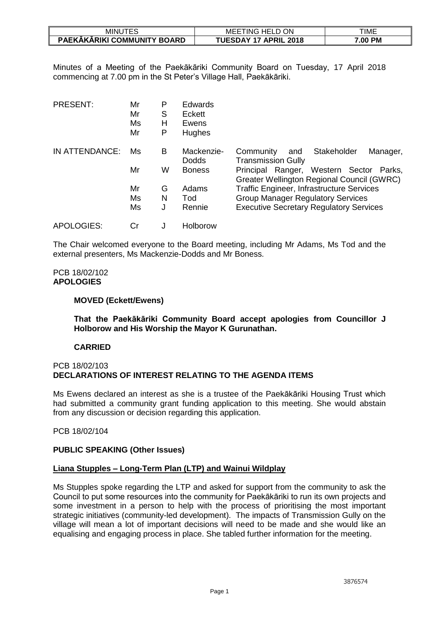| JTES<br>minu                | ---- - <u>-</u> -<br>ON<br>`HELL<br>MEE<br>TING. | TIME    |
|-----------------------------|--------------------------------------------------|---------|
| PAEKĀKĀRIKI COMMUNITY BOARD | <b>UESDAY 17</b><br><b>APRIL</b><br>2018         | 7.00 PM |

Minutes of a Meeting of the Paekākāriki Community Board on Tuesday, 17 April 2018 commencing at 7.00 pm in the St Peter's Village Hall, Paekākāriki.

| <b>PRESENT:</b> | Mr<br>Mr<br>Ms<br>Mr | P<br>S<br>н<br>P | <b>Edwards</b><br>Eckett<br>Ewens<br><b>Hughes</b> |                                                                                          |
|-----------------|----------------------|------------------|----------------------------------------------------|------------------------------------------------------------------------------------------|
| IN ATTENDANCE:  | Ms                   | в                | Mackenzie-<br><b>Dodds</b>                         | Stakeholder<br>Community<br>Manager,<br>and<br><b>Transmission Gully</b>                 |
|                 | Mr                   | W                | <b>Boness</b>                                      | Principal Ranger, Western Sector<br>Parks.<br>Greater Wellington Regional Council (GWRC) |
|                 | Mr                   | G                | Adams                                              | <b>Traffic Engineer, Infrastructure Services</b>                                         |
|                 | Ms                   | N                | Tod                                                | <b>Group Manager Regulatory Services</b>                                                 |
|                 | Ms                   | J                | Rennie                                             | <b>Executive Secretary Regulatory Services</b>                                           |
| APOLOGIES:      | Cr                   | J                | Holborow                                           |                                                                                          |

The Chair welcomed everyone to the Board meeting, including Mr Adams, Ms Tod and the external presenters, Ms Mackenzie-Dodds and Mr Boness.

# PCB 18/02/102 **APOLOGIES**

# **MOVED (Eckett/Ewens)**

**That the Paekākāriki Community Board accept apologies from Councillor J Holborow and His Worship the Mayor K Gurunathan.**

#### **CARRIED**

#### PCB 18/02/103 **DECLARATIONS OF INTEREST RELATING TO THE AGENDA ITEMS**

Ms Ewens declared an interest as she is a trustee of the Paekākāriki Housing Trust which had submitted a community grant funding application to this meeting. She would abstain from any discussion or decision regarding this application.

# PCB 18/02/104

#### **PUBLIC SPEAKING (Other Issues)**

#### **Liana Stupples – Long-Term Plan (LTP) and Wainui Wildplay**

Ms Stupples spoke regarding the LTP and asked for support from the community to ask the Council to put some resources into the community for Paekākāriki to run its own projects and some investment in a person to help with the process of prioritising the most important strategic initiatives (community-led development). The impacts of Transmission Gully on the village will mean a lot of important decisions will need to be made and she would like an equalising and engaging process in place. She tabled further information for the meeting.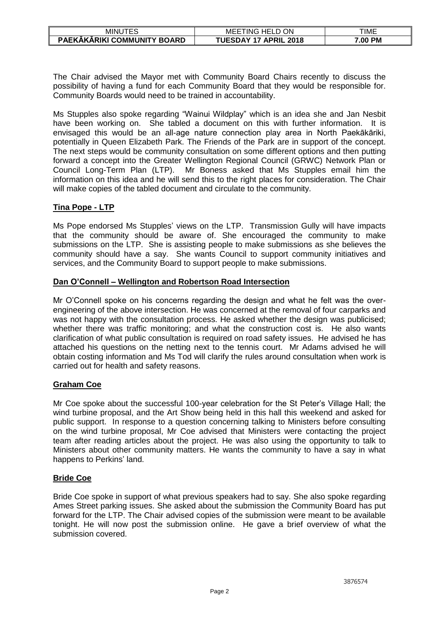| 'TES<br>MINU                | ON<br>$\cap$ HELL<br>MEE<br>iNG           | TIME    |
|-----------------------------|-------------------------------------------|---------|
| PAEKĀKĀRIKI COMMUNITY BOARD | <b>TUESDAY 17</b><br><b>APRIL</b><br>2018 | '.00 PM |

The Chair advised the Mayor met with Community Board Chairs recently to discuss the possibility of having a fund for each Community Board that they would be responsible for. Community Boards would need to be trained in accountability.

Ms Stupples also spoke regarding "Wainui Wildplay" which is an idea she and Jan Nesbit have been working on. She tabled a document on this with further information. It is envisaged this would be an all-age nature connection play area in North Paekākāriki, potentially in Queen Elizabeth Park. The Friends of the Park are in support of the concept. The next steps would be community consultation on some different options and then putting forward a concept into the Greater Wellington Regional Council (GRWC) Network Plan or Council Long-Term Plan (LTP). Mr Boness asked that Ms Stupples email him the information on this idea and he will send this to the right places for consideration. The Chair will make copies of the tabled document and circulate to the community.

# **Tina Pope - LTP**

Ms Pope endorsed Ms Stupples' views on the LTP. Transmission Gully will have impacts that the community should be aware of. She encouraged the community to make submissions on the LTP. She is assisting people to make submissions as she believes the community should have a say. She wants Council to support community initiatives and services, and the Community Board to support people to make submissions.

# **Dan O'Connell – Wellington and Robertson Road Intersection**

Mr O'Connell spoke on his concerns regarding the design and what he felt was the overengineering of the above intersection. He was concerned at the removal of four carparks and was not happy with the consultation process. He asked whether the design was publicised; whether there was traffic monitoring; and what the construction cost is. He also wants clarification of what public consultation is required on road safety issues. He advised he has attached his questions on the netting next to the tennis court. Mr Adams advised he will obtain costing information and Ms Tod will clarify the rules around consultation when work is carried out for health and safety reasons.

# **Graham Coe**

Mr Coe spoke about the successful 100-year celebration for the St Peter's Village Hall; the wind turbine proposal, and the Art Show being held in this hall this weekend and asked for public support. In response to a question concerning talking to Ministers before consulting on the wind turbine proposal, Mr Coe advised that Ministers were contacting the project team after reading articles about the project. He was also using the opportunity to talk to Ministers about other community matters. He wants the community to have a say in what happens to Perkins' land.

# **Bride Coe**

Bride Coe spoke in support of what previous speakers had to say. She also spoke regarding Ames Street parking issues. She asked about the submission the Community Board has put forward for the LTP. The Chair advised copies of the submission were meant to be available tonight. He will now post the submission online. He gave a brief overview of what the submission covered.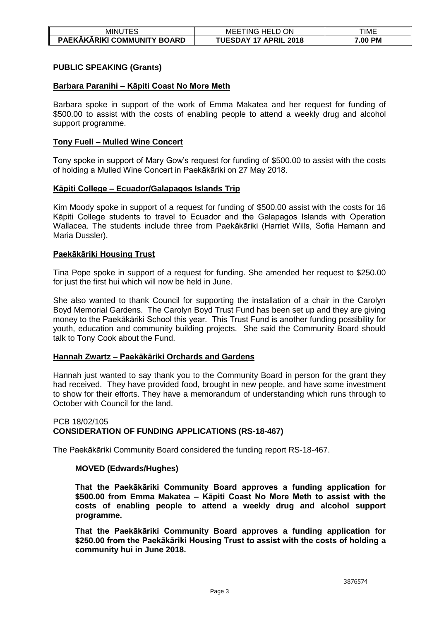| minu <sup>.</sup><br><u>_</u>           | ON<br>$\sim$<br>HEL.<br>MEE<br>I ING<br>---      | TIME    |
|-----------------------------------------|--------------------------------------------------|---------|
| PAEKĀKĀRIKI COMMUNITY  <br><b>BOARD</b> | DAY<br>17<br><b>APRIL</b><br>2018<br><b>UESI</b> | 7.00 PM |

# **PUBLIC SPEAKING (Grants)**

## **Barbara Paranihi – Kāpiti Coast No More Meth**

Barbara spoke in support of the work of Emma Makatea and her request for funding of \$500.00 to assist with the costs of enabling people to attend a weekly drug and alcohol support programme.

## **Tony Fuell – Mulled Wine Concert**

Tony spoke in support of Mary Gow's request for funding of \$500.00 to assist with the costs of holding a Mulled Wine Concert in Paekākāriki on 27 May 2018.

#### **Kāpiti College – Ecuador/Galapagos Islands Trip**

Kim Moody spoke in support of a request for funding of \$500.00 assist with the costs for 16 Kāpiti College students to travel to Ecuador and the Galapagos Islands with Operation Wallacea. The students include three from Paekākāriki (Harriet Wills, Sofia Hamann and Maria Dussler).

# **Paekākāriki Housing Trust**

Tina Pope spoke in support of a request for funding. She amended her request to \$250.00 for just the first hui which will now be held in June.

She also wanted to thank Council for supporting the installation of a chair in the Carolyn Boyd Memorial Gardens. The Carolyn Boyd Trust Fund has been set up and they are giving money to the Paekākāriki School this year. This Trust Fund is another funding possibility for youth, education and community building projects. She said the Community Board should talk to Tony Cook about the Fund.

#### **Hannah Zwartz – Paekākāriki Orchards and Gardens**

Hannah just wanted to say thank you to the Community Board in person for the grant they had received. They have provided food, brought in new people, and have some investment to show for their efforts. They have a memorandum of understanding which runs through to October with Council for the land.

# PCB 18/02/105 **CONSIDERATION OF FUNDING APPLICATIONS (RS-18-467)**

The Paekākāriki Community Board considered the funding report RS-18-467.

#### **MOVED (Edwards/Hughes)**

**That the Paekākāriki Community Board approves a funding application for \$500.00 from Emma Makatea – Kāpiti Coast No More Meth to assist with the costs of enabling people to attend a weekly drug and alcohol support programme.** 

**That the Paekākāriki Community Board approves a funding application for \$250.00 from the Paekākāriki Housing Trust to assist with the costs of holding a community hui in June 2018.**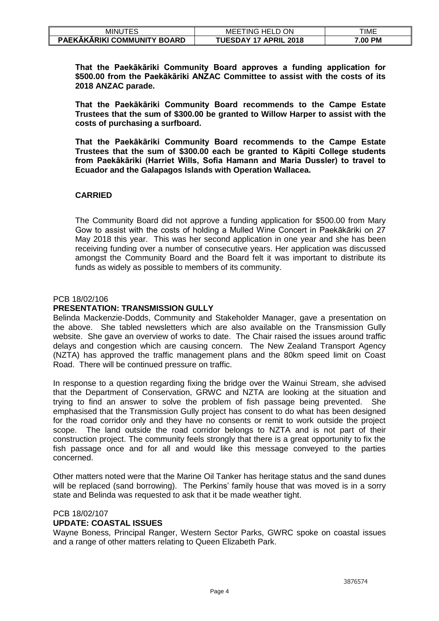| <b>MINU</b><br>1ES                 | ON<br>HELL<br>ING<br>ME                                      | TIME              |
|------------------------------------|--------------------------------------------------------------|-------------------|
| <b>PAEKAKARIKI COMMUNITY BOARD</b> | $\overline{1}$ UESDAY $\overline{1}$<br><b>APRIL</b><br>2018 | <b>PM</b><br>7.00 |

**That the Paekākāriki Community Board approves a funding application for \$500.00 from the Paekākāriki ANZAC Committee to assist with the costs of its 2018 ANZAC parade.**

**That the Paekākāriki Community Board recommends to the Campe Estate Trustees that the sum of \$300.00 be granted to Willow Harper to assist with the costs of purchasing a surfboard.**

**That the Paekākāriki Community Board recommends to the Campe Estate Trustees that the sum of \$300.00 each be granted to Kāpiti College students from Paekākāriki (Harriet Wills, Sofia Hamann and Maria Dussler) to travel to Ecuador and the Galapagos Islands with Operation Wallacea.** 

# **CARRIED**

The Community Board did not approve a funding application for \$500.00 from Mary Gow to assist with the costs of holding a Mulled Wine Concert in Paekākāriki on 27 May 2018 this year. This was her second application in one year and she has been receiving funding over a number of consecutive years. Her application was discussed amongst the Community Board and the Board felt it was important to distribute its funds as widely as possible to members of its community.

#### PCB 18/02/106

#### **PRESENTATION: TRANSMISSION GULLY**

Belinda Mackenzie-Dodds, Community and Stakeholder Manager, gave a presentation on the above. She tabled newsletters which are also available on the Transmission Gully website. She gave an overview of works to date. The Chair raised the issues around traffic delays and congestion which are causing concern. The New Zealand Transport Agency (NZTA) has approved the traffic management plans and the 80km speed limit on Coast Road. There will be continued pressure on traffic.

In response to a question regarding fixing the bridge over the Wainui Stream, she advised that the Department of Conservation, GRWC and NZTA are looking at the situation and trying to find an answer to solve the problem of fish passage being prevented. She emphasised that the Transmission Gully project has consent to do what has been designed for the road corridor only and they have no consents or remit to work outside the project scope. The land outside the road corridor belongs to NZTA and is not part of their construction project. The community feels strongly that there is a great opportunity to fix the fish passage once and for all and would like this message conveyed to the parties concerned.

Other matters noted were that the Marine Oil Tanker has heritage status and the sand dunes will be replaced (sand borrowing). The Perkins' family house that was moved is in a sorry state and Belinda was requested to ask that it be made weather tight.

# PCB 18/02/107

# **UPDATE: COASTAL ISSUES**

Wayne Boness, Principal Ranger, Western Sector Parks, GWRC spoke on coastal issues and a range of other matters relating to Queen Elizabeth Park.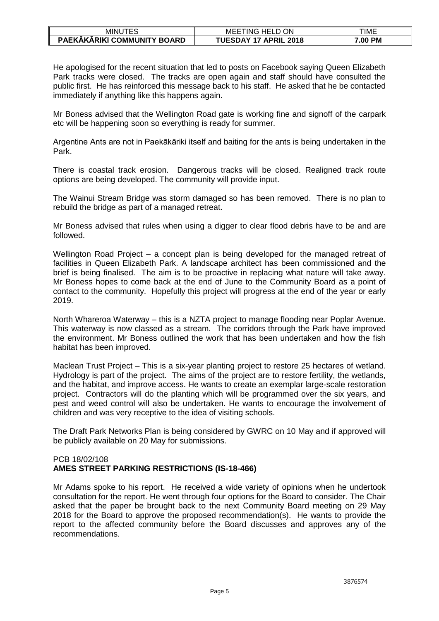| <b>MINU</b><br>-5<br>⊏ບ     | TING<br>ON<br>HEL.<br>MEE                   | TIME    |
|-----------------------------|---------------------------------------------|---------|
| PAEKĀKĀRIKI COMMUNITY BOARD | <b>UESDAY</b><br><b>APRIL</b><br>17<br>2018 | 7.00 PM |

He apologised for the recent situation that led to posts on Facebook saying Queen Elizabeth Park tracks were closed. The tracks are open again and staff should have consulted the public first. He has reinforced this message back to his staff. He asked that he be contacted immediately if anything like this happens again.

Mr Boness advised that the Wellington Road gate is working fine and signoff of the carpark etc will be happening soon so everything is ready for summer.

Argentine Ants are not in Paekākāriki itself and baiting for the ants is being undertaken in the Park.

There is coastal track erosion. Dangerous tracks will be closed. Realigned track route options are being developed. The community will provide input.

The Wainui Stream Bridge was storm damaged so has been removed. There is no plan to rebuild the bridge as part of a managed retreat.

Mr Boness advised that rules when using a digger to clear flood debris have to be and are followed.

Wellington Road Project – a concept plan is being developed for the managed retreat of facilities in Queen Elizabeth Park. A landscape architect has been commissioned and the brief is being finalised. The aim is to be proactive in replacing what nature will take away. Mr Boness hopes to come back at the end of June to the Community Board as a point of contact to the community. Hopefully this project will progress at the end of the year or early 2019.

North Whareroa Waterway – this is a NZTA project to manage flooding near Poplar Avenue. This waterway is now classed as a stream. The corridors through the Park have improved the environment. Mr Boness outlined the work that has been undertaken and how the fish habitat has been improved.

Maclean Trust Project – This is a six-year planting project to restore 25 hectares of wetland. Hydrology is part of the project. The aims of the project are to restore fertility, the wetlands, and the habitat, and improve access. He wants to create an exemplar large-scale restoration project. Contractors will do the planting which will be programmed over the six years, and pest and weed control will also be undertaken. He wants to encourage the involvement of children and was very receptive to the idea of visiting schools.

The Draft Park Networks Plan is being considered by GWRC on 10 May and if approved will be publicly available on 20 May for submissions.

#### PCB 18/02/108 **AMES STREET PARKING RESTRICTIONS (IS-18-466)**

Mr Adams spoke to his report. He received a wide variety of opinions when he undertook consultation for the report. He went through four options for the Board to consider. The Chair asked that the paper be brought back to the next Community Board meeting on 29 May 2018 for the Board to approve the proposed recommendation(s). He wants to provide the report to the affected community before the Board discusses and approves any of the recommendations.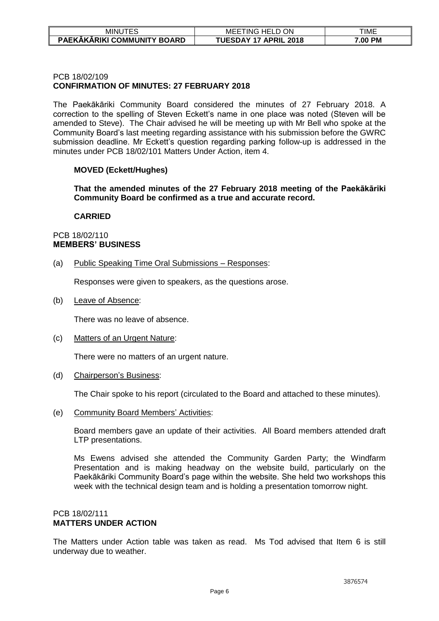| <b>MINU</b>                             | ON<br>$\sim$<br>HEL.<br>MEE<br>ING<br>----  | TIME             |
|-----------------------------------------|---------------------------------------------|------------------|
| PAEKĀKĀRIKI COMMUNITY I<br><b>BOARD</b> | <b>JESDAY</b><br><b>APRIL</b><br>2018<br>17 | <b>PM</b><br>.00 |

## PCB 18/02/109 **CONFIRMATION OF MINUTES: 27 FEBRUARY 2018**

The Paekākāriki Community Board considered the minutes of 27 February 2018. A correction to the spelling of Steven Eckett's name in one place was noted (Steven will be amended to Steve). The Chair advised he will be meeting up with Mr Bell who spoke at the Community Board's last meeting regarding assistance with his submission before the GWRC submission deadline. Mr Eckett's question regarding parking follow-up is addressed in the minutes under PCB 18/02/101 Matters Under Action, item 4.

# **MOVED (Eckett/Hughes)**

**That the amended minutes of the 27 February 2018 meeting of the Paekākāriki Community Board be confirmed as a true and accurate record.** 

#### **CARRIED**

## PCB 18/02/110 **MEMBERS' BUSINESS**

(a) Public Speaking Time Oral Submissions – Responses:

Responses were given to speakers, as the questions arose.

(b) Leave of Absence:

There was no leave of absence.

(c) Matters of an Urgent Nature:

There were no matters of an urgent nature.

(d) Chairperson's Business:

The Chair spoke to his report (circulated to the Board and attached to these minutes).

(e) Community Board Members' Activities:

Board members gave an update of their activities. All Board members attended draft LTP presentations.

Ms Ewens advised she attended the Community Garden Party; the Windfarm Presentation and is making headway on the website build, particularly on the Paekākāriki Community Board's page within the website. She held two workshops this week with the technical design team and is holding a presentation tomorrow night.

# PCB 18/02/111 **MATTERS UNDER ACTION**

The Matters under Action table was taken as read. Ms Tod advised that Item 6 is still underway due to weather.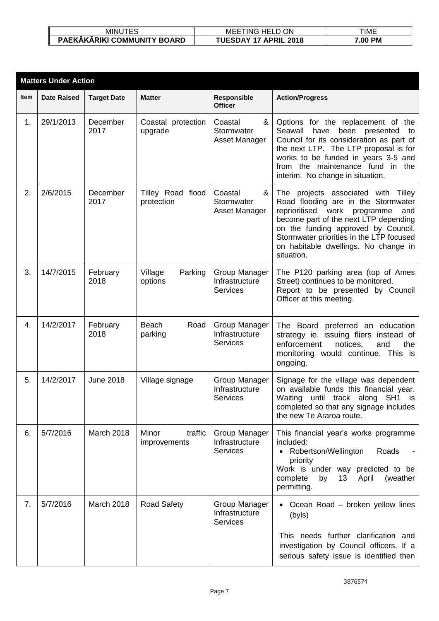| ---<br>MINUTES                     | ON<br>HELL<br>MEE<br>ING             | TIME    |
|------------------------------------|--------------------------------------|---------|
| <b>PAEKAKARIKI COMMUNITY BOARD</b> | UESDAY<br>17<br><b>APRIL</b><br>2018 | 7.00 PM |

|      | <b>Matters Under Action</b> |                    |                                  |                                                    |                                                                                                                                                                                                                                                                                                        |  |  |
|------|-----------------------------|--------------------|----------------------------------|----------------------------------------------------|--------------------------------------------------------------------------------------------------------------------------------------------------------------------------------------------------------------------------------------------------------------------------------------------------------|--|--|
| Item | <b>Date Raised</b>          | <b>Target Date</b> | <b>Matter</b>                    | Responsible<br><b>Officer</b>                      | <b>Action/Progress</b>                                                                                                                                                                                                                                                                                 |  |  |
| 1.   | 29/1/2013                   | December<br>2017   | Coastal protection<br>upgrade    | Coastal<br>&<br>Stormwater<br>Asset Manager        | Options for the replacement of the<br>Seawall<br>have<br>been presented<br>to<br>Council for its consideration as part of<br>the next LTP. The LTP proposal is for<br>works to be funded in years 3-5 and<br>from the maintenance fund in the<br>interim. No change in situation.                      |  |  |
| 2.   | 2/6/2015                    | December<br>2017   | Tilley Road flood<br>protection  | Coastal<br>&<br>Stormwater<br>Asset Manager        | The projects associated with Tilley<br>Road flooding are in the Stormwater<br>reprioritised work<br>programme<br>and<br>become part of the next LTP depending<br>on the funding approved by Council.<br>Stormwater priorities in the LTP focused<br>on habitable dwellings. No change in<br>situation. |  |  |
| 3.   | 14/7/2015                   | February<br>2018   | Village<br>Parking<br>options    | Group Manager<br>Infrastructure<br>Services        | The P120 parking area (top of Ames<br>Street) continues to be monitored.<br>Report to be presented by Council<br>Officer at this meeting.                                                                                                                                                              |  |  |
| 4.   | 14/2/2017                   | February<br>2018   | Beach<br>Road<br>parking         | Group Manager<br>Infrastructure<br><b>Services</b> | The Board preferred an education<br>strategy ie. issuing fliers instead of<br>enforcement<br>notices,<br>and<br>the<br>monitoring would continue. This is<br>ongoing.                                                                                                                                  |  |  |
| 5.   | 14/2/2017                   | <b>June 2018</b>   | Village signage                  | Group Manager<br>Infrastructure<br><b>Services</b> | Signage for the village was dependent<br>on available funds this financial year.<br>until track along<br>SH1 is<br>Waiting<br>completed so that any signage includes<br>the new Te Araroa route.                                                                                                       |  |  |
| 6.   | 5/7/2016                    | March 2018         | Minor<br>traffic<br>improvements | Group Manager<br>Infrastructure<br><b>Services</b> | This financial year's works programme<br>included:<br>• Robertson/Wellington<br>Roads<br>priority<br>Work is under way predicted to be<br>complete<br>13 <sup>°</sup><br>(weather<br>by<br>April<br>permitting.                                                                                        |  |  |
| 7.   | 5/7/2016                    | March 2018         | <b>Road Safety</b>               | Group Manager<br>Infrastructure<br><b>Services</b> | • Ocean Road – broken yellow lines<br>(byls)                                                                                                                                                                                                                                                           |  |  |
|      |                             |                    |                                  |                                                    | This needs further clarification and<br>investigation by Council officers. If a<br>serious safety issue is identified then                                                                                                                                                                             |  |  |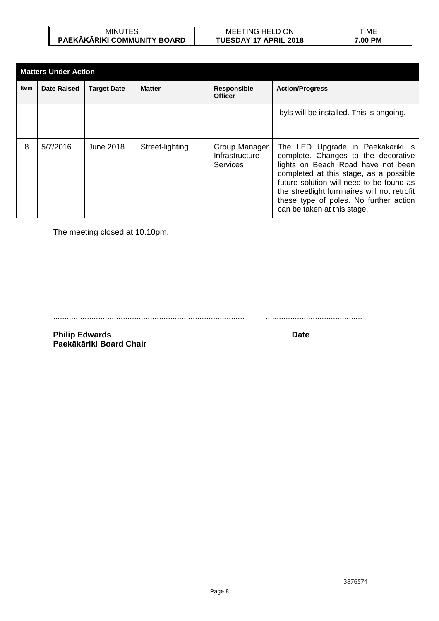| MINU<br>ES                  | ON<br>$\sim$<br>`HFL.<br>ING<br>MEE<br>---- | TIME              |
|-----------------------------|---------------------------------------------|-------------------|
| PAEKAKARIKI COMMUNITY BOARD | <b>APRIL</b><br>TUESDAY<br>2018<br>$-17$    | <b>PM</b><br>7.00 |

|             | <b>Matters Under Action</b> |                    |                 |                                             |                                                                                                                                                                                                                                                                                                                               |  |
|-------------|-----------------------------|--------------------|-----------------|---------------------------------------------|-------------------------------------------------------------------------------------------------------------------------------------------------------------------------------------------------------------------------------------------------------------------------------------------------------------------------------|--|
| <b>Item</b> | <b>Date Raised</b>          | <b>Target Date</b> | <b>Matter</b>   | <b>Responsible</b><br><b>Officer</b>        | <b>Action/Progress</b>                                                                                                                                                                                                                                                                                                        |  |
|             |                             |                    |                 |                                             | byls will be installed. This is ongoing.                                                                                                                                                                                                                                                                                      |  |
| 8.          | 5/7/2016                    | June 2018          | Street-lighting | Group Manager<br>Infrastructure<br>Services | The LED Upgrade in Paekakariki is<br>complete. Changes to the decorative<br>lights on Beach Road have not been<br>completed at this stage, as a possible<br>future solution will need to be found as<br>the streetlight luminaires will not retrofit<br>these type of poles. No further action<br>can be taken at this stage. |  |

The meeting closed at 10.10pm.

..................................................................................... ...........................................

**Philip Edwards Date Paekākāriki Board Chair**